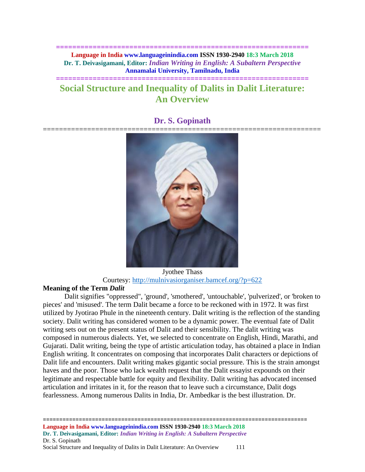**============================================================== Language in India www.languageinindia.com ISSN 1930-2940 18:3 March 2018 Dr. T. Deivasigamani, Editor:** *Indian Writing in English: A Subaltern Perspective* **Annamalai University, Tamilnadu, India**

# **Social Structure and Inequality of Dalits in Dalit Literature: An Overview**

**==============================================================**

# **Dr. S. Gopinath**



Jyothee Thass Courtesy:<http://mulnivasiorganiser.bamcef.org/?p=622>

## **Meaning of the Term** *Dalit*

Dalit signifies "oppressed", 'ground', 'smothered', 'untouchable', 'pulverized', or 'broken to pieces' and 'misused'. The term Dalit became a force to be reckoned with in 1972. It was first utilized by Jyotirao Phule in the nineteenth century. Dalit writing is the reflection of the standing society. Dalit writing has considered women to be a dynamic power. The eventual fate of Dalit writing sets out on the present status of Dalit and their sensibility. The dalit writing was composed in numerous dialects. Yet, we selected to concentrate on English, Hindi, Marathi, and Gujarati. Dalit writing, being the type of artistic articulation today, has obtained a place in Indian English writing. It concentrates on composing that incorporates Dalit characters or depictions of Dalit life and encounters. Dalit writing makes gigantic social pressure. This is the strain amongst haves and the poor. Those who lack wealth request that the Dalit essayist expounds on their legitimate and respectable battle for equity and flexibility. Dalit writing has advocated incensed articulation and irritates in it, for the reason that to leave such a circumstance, Dalit dogs fearlessness. Among numerous Dalits in India, Dr. Ambedkar is the best illustration. Dr.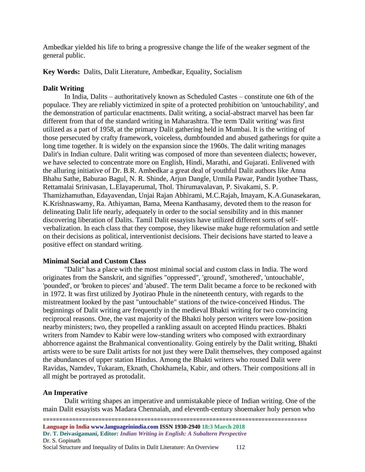Ambedkar yielded his life to bring a progressive change the life of the weaker segment of the general public.

**Key Words:** Dalits, Dalit Literature, Ambedkar, Equality, Socialism

# **Dalit Writing**

In India, Dalits – authoritatively known as Scheduled Castes – constitute one 6th of the populace. They are reliably victimized in spite of a protected prohibition on 'untouchability', and the demonstration of particular enactments. Dalit writing, a social-abstract marvel has been far different from that of the standard writing in Maharashtra. The term 'Dalit writing' was first utilized as a part of 1958, at the primary Dalit gathering held in Mumbai. It is the writing of those persecuted by crafty framework, voiceless, dumbfounded and abused gatherings for quite a long time together. It is widely on the expansion since the 1960s. The dalit writing manages Dalit's in Indian culture. Dalit writing was composed of more than seventeen dialects; however, we have selected to concentrate more on English, Hindi, Marathi, and Gujarati. Enlivened with the alluring initiative of Dr. B.R. Ambedkar a great deal of youthful Dalit authors like Anna Bhahu Sathe, Baburao Bagul, N. R. Shinde, Arjun Dangle, Urmila Pawar, Pandit Iyothee Thass, Rettamalai Srinivasan, L.Elayaperumal, Thol. Thirumavalavan, P. Sivakami, S. P. Thamizhamuthan, Edayavendan, Unjai Rajan Abhirami, M.C.Rajah, Imayam, K.A.Gunasekaran, K.Krishnaswamy, Ra. Athiyaman, Bama, Meena Kanthasamy, devoted them to the reason for delineating Dalit life nearly, adequately in order to the social sensibility and in this manner discovering liberation of Dalits. Tamil Dalit essayists have utilized different sorts of selfverbalization. In each class that they compose, they likewise make huge reformulation and settle on their decisions as political, interventionist decisions. Their decisions have started to leave a positive effect on standard writing.

# **Minimal Social and Custom Class**

"Dalit" has a place with the most minimal social and custom class in India. The word originates from the Sanskrit, and signifies "oppressed", 'ground', 'smothered', 'untouchable', 'pounded', or 'broken to pieces' and 'abused'. The term Dalit became a force to be reckoned with in 1972. It was first utilized by Jyotirao Phule in the nineteenth century, with regards to the mistreatment looked by the past "untouchable" stations of the twice-conceived Hindus. The beginnings of Dalit writing are frequently in the medieval Bhakti writing for two convincing reciprocal reasons. One, the vast majority of the Bhakti holy person writers were low-position nearby ministers; two, they propelled a rankling assault on accepted Hindu practices. Bhakti writers from Namdev to Kabir were low-standing writers who composed with extraordinary abhorrence against the Brahmanical conventionality. Going entirely by the Dalit writing, Bhakti artists were to be sure Dalit artists for not just they were Dalit themselves, they composed against the abundances of upper station Hindus. Among the Bhakti writers who roused Dalit were Ravidas, Namdev, Tukaram, Eknath, Chokhamela, Kabir, and others. Their compositions all in all might be portrayed as protodalit.

# **An Imperative**

Dalit writing shapes an imperative and unmistakable piece of Indian writing. One of the main Dalit essayists was Madara Chennaiah, and eleventh-century shoemaker holy person who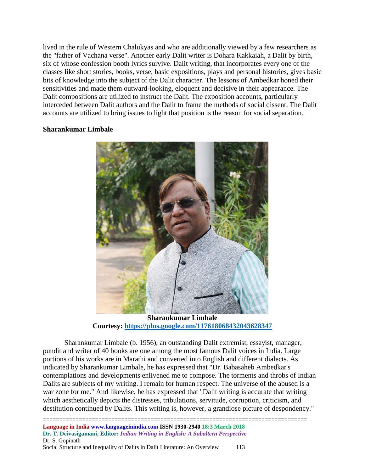lived in the rule of Western Chalukyas and who are additionally viewed by a few researchers as the "father of Vachana verse". Another early Dalit writer is Dohara Kakkaiah, a Dalit by birth, six of whose confession booth lyrics survive. Dalit writing, that incorporates every one of the classes like short stories, books, verse, basic expositions, plays and personal histories, gives basic bits of knowledge into the subject of the Dalit character. The lessons of Ambedkar honed their sensitivities and made them outward-looking, eloquent and decisive in their appearance. The Dalit compositions are utilized to instruct the Dalit. The exposition accounts, particularly interceded between Dalit authors and the Dalit to frame the methods of social dissent. The Dalit accounts are utilized to bring issues to light that position is the reason for social separation.

## **Sharankumar Limbale**



**Sharankumar Limbale Courtesy:<https://plus.google.com/117618068432043628347>**

Sharankumar Limbale (b. 1956), an outstanding Dalit extremist, essayist, manager, pundit and writer of 40 books are one among the most famous Dalit voices in India. Large portions of his works are in Marathi and converted into English and different dialects. As indicated by Sharankumar Limbale, he has expressed that "Dr. Babasaheb Ambedkar's contemplations and developments enlivened me to compose. The torments and throbs of Indian Dalits are subjects of my writing. I remain for human respect. The universe of the abused is a war zone for me." And likewise, he has expressed that "Dalit writing is accurate that writing which aesthetically depicts the distresses, tribulations, servitude, corruption, criticism, and destitution continued by Dalits. This writing is, however, a grandiose picture of despondency."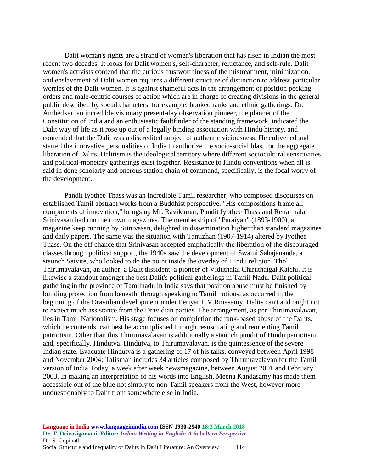Dalit woman's rights are a strand of women's liberation that has risen in Indian the most recent two decades. It looks for Dalit women's, self-character, reluctance, and self-rule. Dalit women's activists contend that the curious trustworthiness of the mistreatment, minimization, and enslavement of Dalit women requires a different structure of distinction to address particular worries of the Dalit women. It is against shameful acts in the arrangement of position pecking orders and male-centric courses of action which are in charge of creating divisions in the general public described by social characters, for example, booked ranks and ethnic gatherings. Dr. Ambedkar, an incredible visionary present-day observation pioneer, the planner of the Constitution of India and an enthusiastic faultfinder of the standing framework, indicated the Dalit way of life as it rose up out of a legally binding association with Hindu history, and contended that the Dalit was a discredited subject of authentic viciousness. He enlivened and started the innovative personalities of India to authorize the socio-social blast for the aggregate liberation of Dalits. Dalitism is the ideological territory where different sociocultural sensitivities and political-monetary gatherings exist together. Resistance to Hindu conventions when all is said in done scholarly and onerous station chain of command, specifically, is the focal worry of the development.

Pandit Iyothee Thass was an incredible Tamil researcher, who composed discourses on established Tamil abstract works from a Buddhist perspective. "His compositions frame all components of innovation," brings up Mr. Ravikumar, Pandit Iyothee Thass and Rettaimalai Srinivasan had run their own magazines. The membership of "Paraiyan" (1893-1900), a magazine keep running by Srinivasan, delighted in dissemination higher than standard magazines and daily papers. The same was the situation with Tamizhan (1907-1914) altered by Iyothee Thass. On the off chance that Srinivasan accepted emphatically the liberation of the discouraged classes through political support, the 1940s saw the development of Swami Sahajananda, a staunch Saivite, who looked to do the point inside the overlay of Hindu religion. Thol. Thirumavalavan, an author, a Dalit dissident, a pioneer of Viduthalai Chiruthaigal Katchi. It is likewise a standout amongst the best Dalit's political gatherings in Tamil Nadu. Dalit political gathering in the province of Tamilnadu in India says that position abuse must be finished by building protection from beneath, through speaking to Tamil notions, as occurred in the beginning of the Dravidian development under Periyar E.V.Rmasamy. Dalits can't and ought not to expect much assistance from the Dravidian parties. The arrangement, as per Thirumavalavan, lies in Tamil Nationalism. His stage focuses on completion the rank-based abuse of the Dalits, which he contends, can best be accomplished through resuscitating and reorienting Tamil patriotism. Other than this Thirumavalavan is additionally a staunch pundit of Hindu patriotism and, specifically, Hindutva. Hindutva, to Thirumavalavan, is the quintessence of the severe Indian state. Evacuate Hindutva is a gathering of 17 of his talks, conveyed between April 1998 and November 2004; Talisman includes 34 articles composed by Thirumavalavan for the Tamil version of India Today, a week after week newsmagazine, between August 2001 and February 2003. In making an interpretation of his words into English, Meena Kandasamy has made them accessible out of the blue not simply to non-Tamil speakers from the West, however more unquestionably to Dalit from somewhere else in India.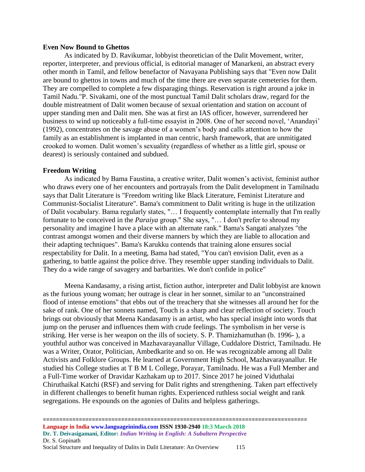### **Even Now Bound to Ghettos**

As indicated by D. Ravikumar, lobbyist theoretician of the Dalit Movement, writer, reporter, interpreter, and previous official, is editorial manager of Manarkeni, an abstract every other month in Tamil, and fellow benefactor of Navayana Publishing says that "Even now Dalit are bound to ghettos in towns and much of the time there are even separate cemeteries for them. They are compelled to complete a few disparaging things. Reservation is right around a joke in Tamil Nadu."P. Sivakami, one of the most punctual Tamil Dalit scholars draw, regard for the double mistreatment of Dalit women because of sexual orientation and station on account of upper standing men and Dalit men. She was at first an IAS officer, however, surrendered her business to wind up noticeably a full-time essayist in 2008. One of her second novel, 'Anandayi' (1992), concentrates on the savage abuse of a women's body and calls attention to how the family as an establishment is implanted in man centric, harsh framework, that are unmitigated crooked to women. Dalit women's sexuality (regardless of whether as a little girl, spouse or dearest) is seriously contained and subdued.

#### **Freedom Writing**

As indicated by Bama Faustina, a creative writer, Dalit women's activist, feminist author who draws every one of her encounters and portrayals from the Dalit development in Tamilnadu says that Dalit Literature is "Freedom writing like Black Literature, Feminist Literature and Communist-Socialist Literature". Bama's commitment to Dalit writing is huge in the utilization of Dalit vocabulary. Bama regularly states, "… I frequently contemplate internally that I'm really fortunate to be conceived in the *Paraiya* group." She says, "… I don't prefer to shroud my personality and imagine I have a place with an alternate rank." Bama's Sangati analyzes "the contrast amongst women and their diverse manners by which they are liable to allocation and their adapting techniques". Bama's Karukku contends that training alone ensures social respectability for Dalit. In a meeting, Bama had stated, "You can't envision Dalit, even as a gathering, to battle against the police drive. They resemble upper standing individuals to Dalit. They do a wide range of savagery and barbarities. We don't confide in police"

Meena Kandasamy, a rising artist, fiction author, interpreter and Dalit lobbyist are known as the furious young woman; her outrage is clear in her sonnet, similar to an "unconstrained flood of intense emotions" that ebbs out of the treachery that she witnesses all around her for the sake of rank. One of her sonnets named, Touch is a sharp and clear reflection of society. Touch brings out obviously that Meena Kandasamy is an artist, who has special insight into words that jump on the peruser and influences them with crude feelings. The symbolism in her verse is striking. Her verse is her weapon on the ills of society. S. P. Thamizhamuthan (b. 1996- ), a youthful author was conceived in Mazhavarayanallur Village, Cuddalore District, Tamilnadu. He was a Writer, Orator, Politician, Ambedkarite and so on. He was recognizable among all Dalit Activists and Folklore Groups. He learned at Government High School, Mazhavarayanallur. He studied his College studies at T B M L College, Porayar, Tamilnadu. He was a Full Member and a Full-Time worker of Dravidar Kazhakam up to 2017. Since 2017 he joined Viduthalai Chiruthaikal Katchi (RSF) and serving for Dalit rights and strengthening. Taken part effectively in different challenges to benefit human rights. Experienced ruthless social weight and rank segregations. He expounds on the agonies of Dalits and helpless gatherings.